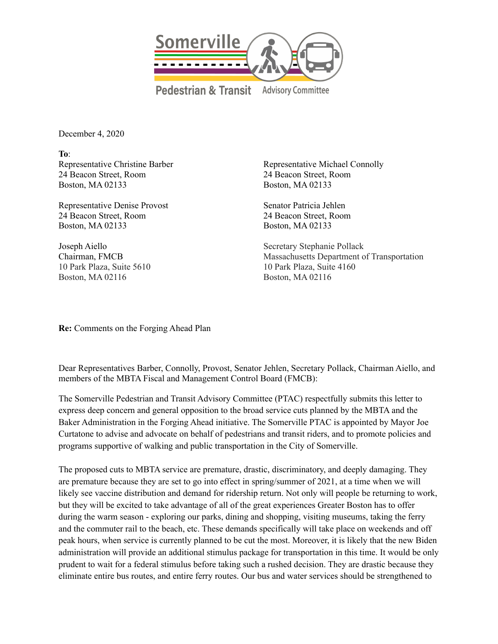

December 4, 2020

**To**: Representative Christine Barber 24 Beacon Street, Room Boston, MA 02133

Representative Denise Provost 24 Beacon Street, Room Boston, MA 02133

Joseph Aiello Chairman, FMCB 10 Park Plaza, Suite 5610 Boston, MA 02116

Representative Michael Connolly 24 Beacon Street, Room Boston, MA 02133

Senator Patricia Jehlen 24 Beacon Street, Room Boston, MA 02133

Secretary Stephanie Pollack Massachusetts Department of Transportation 10 Park Plaza, Suite 4160 Boston, MA 02116

**Re:** Comments on the Forging Ahead Plan

Dear Representatives Barber, Connolly, Provost, Senator Jehlen, Secretary Pollack, Chairman Aiello, and members of the MBTA Fiscal and Management Control Board (FMCB):

The Somerville Pedestrian and Transit Advisory Committee (PTAC) respectfully submits this letter to express deep concern and general opposition to the broad service cuts planned by the MBTA and the Baker Administration in the Forging Ahead initiative. The Somerville PTAC is appointed by Mayor Joe Curtatone to advise and advocate on behalf of pedestrians and transit riders, and to promote policies and programs supportive of walking and public transportation in the City of Somerville.

The proposed cuts to MBTA service are premature, drastic, discriminatory, and deeply damaging. They are premature because they are set to go into effect in spring/summer of 2021, at a time when we will likely see vaccine distribution and demand for ridership return. Not only will people be returning to work, but they will be excited to take advantage of all of the great experiences Greater Boston has to offer during the warm season - exploring our parks, dining and shopping, visiting museums, taking the ferry and the commuter rail to the beach, etc. These demands specifically will take place on weekends and off peak hours, when service is currently planned to be cut the most. Moreover, it is likely that the new Biden administration will provide an additional stimulus package for transportation in this time. It would be only prudent to wait for a federal stimulus before taking such a rushed decision. They are drastic because they eliminate entire bus routes, and entire ferry routes. Our bus and water services should be strengthened to